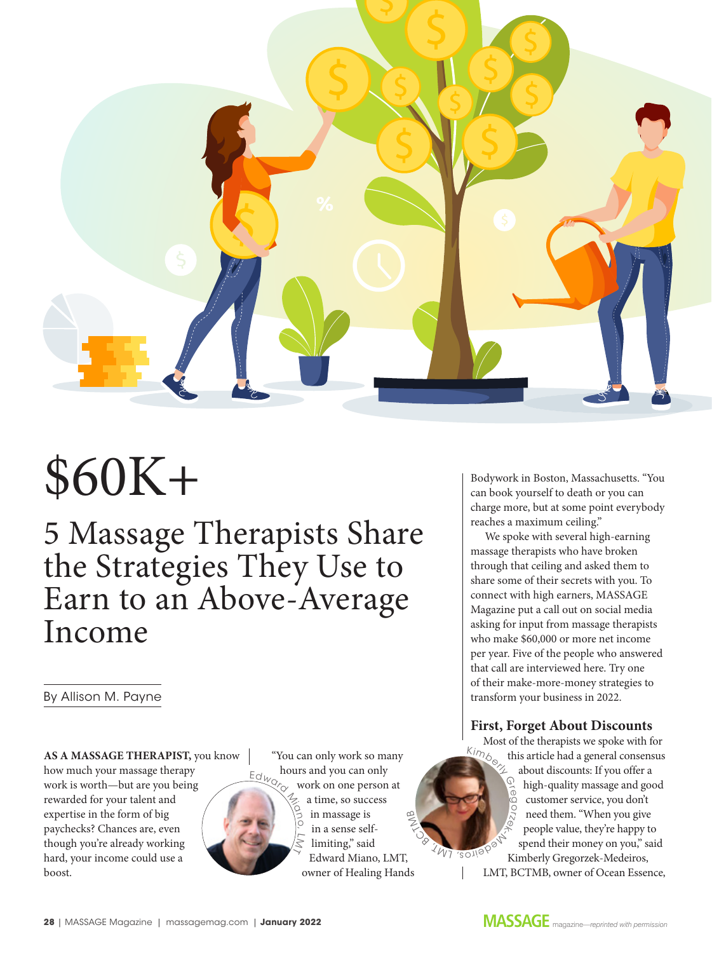

# \$60K+

5 Massage Therapists Share the Strategies They Use to Earn to an Above-Average Income

By Allison M. Payne

**AS A MASSAGE THERAPIST,** you know how much your massage therapy work is worth—but are you being rewarded for your talent and expertise in the form of big paychecks? Chances are, even though you're already working hard, your income could use a boost.



"You can only work so many hours and you can only work on one person at a time, so success in massage is in a sense selflimiting," said Edward Miano, LMT, owner of Healing Hands  $\widetilde{\leq}$  $\infty$ 

O 8 1 M 7 ' SO

Bodywork in Boston, Massachusetts. "You can book yourself to death or you can charge more, but at some point everybody reaches a maximum ceiling."

We spoke with several high-earning massage therapists who have broken through that ceiling and asked them to share some of their secrets with you. To connect with high earners, MASSAGE Magazine put a call out on social media asking for input from massage therapists who make \$60,000 or more net income per year. Five of the people who answered that call are interviewed here. Try one of their make-more-money strategies to transform your business in 2022.

## **First, Forget About Discounts**

Most of the therapists we spoke with for this article had a general consensus about discounts: If you offer a high-quality massage and good customer service, you don't need them. "When you give people value, they're happy to spend their money on you," said Kimberly Gregorzek-Medeiros, LMT, BCTMB, owner of Ocean Essence,  $\kappa_{\mathit{Im}_k}$ re  $\circ$ orzek **Medell**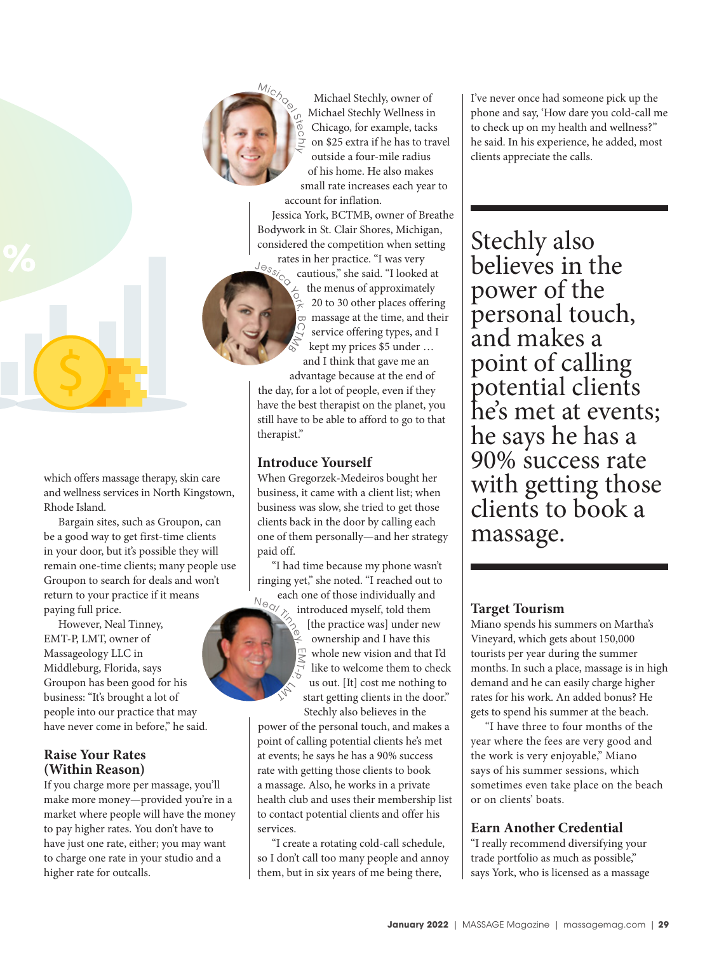

Ste J  $\leq$ 

Michael Stechly, owner of Michael Stechly Wellness in Chicago, for example, tacks on \$25 extra if he has to travel outside a four-mile radius of his home. He also makes small rate increases each year to account for inflation.

Jessica York, BCTMB, owner of Breathe Bodywork in St. Clair Shores, Michigan, considered the competition when setting

rates in her practice. "I was very cautious," she said. "I looked at the menus of approximately 20 to 30 other places offering massage at the time, and their service offering types, and I kept my prices \$5 under … and I think that gave me an Jessic<sub>o Ca</sub> CTMB

advantage because at the end of the day, for a lot of people, even if they have the best therapist on the planet, you still have to be able to afford to go to that therapist."

## **Introduce Yourself**

ML  $\searrow$ 

When Gregorzek-Medeiros bought her business, it came with a client list; when business was slow, she tried to get those clients back in the door by calling each one of them personally—and her strategy paid off.

"I had time because my phone wasn't ringing yet," she noted. "I reached out to  $N_{\text{eq}}$ 

each one of those individually and introduced myself, told them [the practice was] under new ownership and I have this whole new vision and that I'd like to welcome them to check us out. [It] cost me nothing to start getting clients in the door." Stechly also believes in the m M  $\overline{\phantom{a}}$  $\sigma$ 

power of the personal touch, and makes a point of calling potential clients he's met at events; he says he has a 90% success rate with getting those clients to book a massage. Also, he works in a private health club and uses their membership list to contact potential clients and offer his services.

"I create a rotating cold-call schedule, so I don't call too many people and annoy them, but in six years of me being there,

I've never once had someone pick up the phone and say, 'How dare you cold-call me to check up on my health and wellness?" he said. In his experience, he added, most clients appreciate the calls.

Stechly also believes in the power of the personal touch, and makes a point of calling potential clients he's met at events; he says he has a 90% success rate with getting those clients to book a massage.

# **Target Tourism**

Miano spends his summers on Martha's Vineyard, which gets about 150,000 tourists per year during the summer months. In such a place, massage is in high demand and he can easily charge higher rates for his work. An added bonus? He gets to spend his summer at the beach.

"I have three to four months of the year where the fees are very good and the work is very enjoyable," Miano says of his summer sessions, which sometimes even take place on the beach or on clients' boats.

# **Earn Another Credential**

"I really recommend diversifying your trade portfolio as much as possible," says York, who is licensed as a massage

which offers massage therapy, skin care and wellness services in North Kingstown, Rhode Island.

Bargain sites, such as Groupon, can be a good way to get first-time clients in your door, but it's possible they will remain one-time clients; many people use Groupon to search for deals and won't return to your practice if it means paying full price.

However, Neal Tinney, EMT-P, LMT, owner of Massageology LLC in Middleburg, Florida, says Groupon has been good for his business: "It's brought a lot of people into our practice that may have never come in before," he said.

# **Raise Your Rates (Within Reason)**

If you charge more per massage, you'll make more money—provided you're in a market where people will have the money to pay higher rates. You don't have to have just one rate, either; you may want to charge one rate in your studio and a higher rate for outcalls.